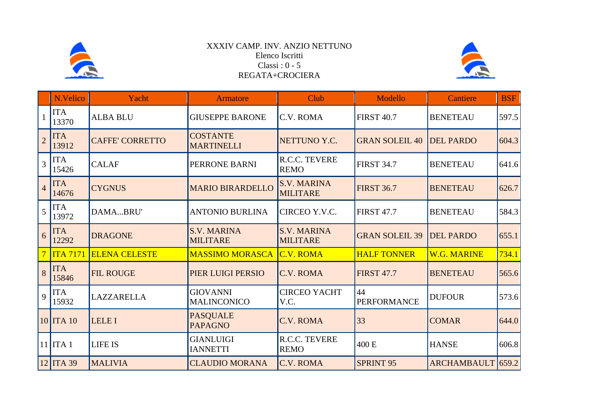

## XXXIV CAMP. INV. ANZIO NETTUNO Elenco Iscritti Classi : 0 - 5 REGATA+CROCIERA



|                | N.Velico            | Yacht                  | <b>Armatore</b>                       | Club                                  | Modello                  | <b>Cantiere</b>    | <b>BSF</b> |
|----------------|---------------------|------------------------|---------------------------------------|---------------------------------------|--------------------------|--------------------|------------|
|                | <b>ITA</b><br>13370 | <b>ALBA BLU</b>        | <b>GIUSEPPE BARONE</b>                | C.V. ROMA                             | <b>FIRST 40.7</b>        | <b>BENETEAU</b>    | 597.5      |
| $\overline{2}$ | <b>ITA</b><br>13912 | <b>CAFFE' CORRETTO</b> | <b>COSTANTE</b><br><b>MARTINELLI</b>  | NETTUNO Y.C.                          | <b>GRAN SOLEIL 40</b>    | <b>DEL PARDO</b>   | 604.3      |
| 3              | <b>ITA</b><br>15426 | <b>CALAF</b>           | PERRONE BARNI                         | R.C.C. TEVERE<br><b>REMO</b>          | <b>FIRST 34.7</b>        | <b>BENETEAU</b>    | 641.6      |
| $\overline{4}$ | <b>ITA</b><br>14676 | <b>CYGNUS</b>          | <b>MARIO BIRARDELLO</b>               | <b>S.V. MARINA</b><br><b>MILITARE</b> | <b>FIRST 36.7</b>        | <b>BENETEAU</b>    | 626.7      |
| 5              | <b>ITA</b><br>13972 | DAMABRU'               | <b>ANTONIO BURLINA</b>                | CIRCEO Y.V.C.                         | <b>FIRST 47.7</b>        | <b>BENETEAU</b>    | 584.3      |
| 6              | <b>ITA</b><br>12292 | <b>DRAGONE</b>         | <b>S.V. MARINA</b><br><b>MILITARE</b> | <b>S.V. MARINA</b><br><b>MILITARE</b> | <b>GRAN SOLEIL 39</b>    | <b>DEL PARDO</b>   | 655.1      |
|                | ITA 7171            | <b>ELENA CELESTE</b>   | <b>MASSIMO MORASCA</b>                | <b>C.V. ROMA</b>                      | <b>HALF TONNER</b>       | <b>W.G. MARINE</b> | 734.1      |
| 8              | <b>ITA</b><br>15846 | <b>FIL ROUGE</b>       | PIER LUIGI PERSIO                     | C.V. ROMA                             | <b>FIRST 47.7</b>        | <b>BENETEAU</b>    | 565.6      |
| 9              | <b>ITA</b><br>15932 | LAZZARELLA             | <b>GIOVANNI</b><br><b>MALINCONICO</b> | <b>CIRCEO YACHT</b><br>V.C.           | 44<br><b>PERFORMANCE</b> | <b>DUFOUR</b>      | 573.6      |
|                | $10$ ITA $10$       | <b>LELE I</b>          | <b>PASQUALE</b><br><b>PAPAGNO</b>     | C.V. ROMA                             | 33                       | <b>COMAR</b>       | 644.0      |
|                | $11$ ITA 1          | <b>LIFE IS</b>         | <b>GIANLUIGI</b><br><b>IANNETTI</b>   | R.C.C. TEVERE<br><b>REMO</b>          | 400 E                    | <b>HANSE</b>       | 606.8      |
|                | $12$ ITA 39         | <b>MALIVIA</b>         | <b>CLAUDIO MORANA</b>                 | <b>C.V. ROMA</b>                      | <b>SPRINT 95</b>         | ARCHAMBAULT 659.2  |            |